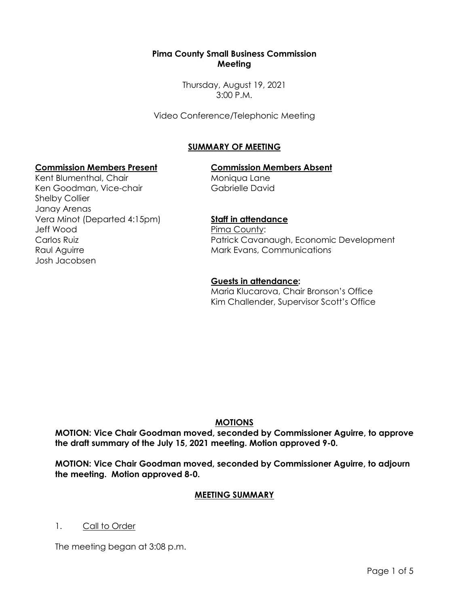## **Pima County Small Business Commission Meeting**

Thursday, August 19, 2021 3:00 P.M.

Video Conference/Telephonic Meeting

## **SUMMARY OF MEETING**

## **Commission Members Present Commission Members Absent**

Kent Blumenthal, Chair Ken Goodman, Vice-chair Shelby Collier Janay Arenas Vera Minot (Departed 4:15pm) Jeff Wood Carlos Ruiz Raul Aguirre Josh Jacobsen

Moniqua Lane Gabrielle David

## **Staff in attendance**

Pima County: Patrick Cavanaugh, Economic Development Mark Evans, Communications

#### **Guests in attendance:**

Maria Klucarova, Chair Bronson's Office Kim Challender, Supervisor Scott's Office

## **MOTIONS**

**MOTION: Vice Chair Goodman moved, seconded by Commissioner Aguirre, to approve the draft summary of the July 15, 2021 meeting. Motion approved 9-0.**

**MOTION: Vice Chair Goodman moved, seconded by Commissioner Aguirre, to adjourn the meeting. Motion approved 8-0.**

## **MEETING SUMMARY**

1. Call to Order

The meeting began at 3:08 p.m.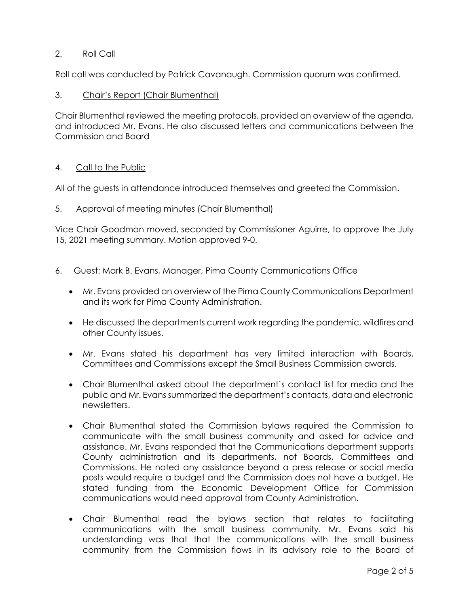# 2. Roll Call

Roll call was conducted by Patrick Cavanaugh. Commission quorum was confirmed.

## 3. Chair's Report (Chair Blumenthal)

Chair Blumenthal reviewed the meeting protocols, provided an overview of the agenda, and introduced Mr. Evans. He also discussed letters and communications between the Commission and Board

## 4. Call to the Public

All of the guests in attendance introduced themselves and greeted the Commission.

## 5. Approval of meeting minutes (Chair Blumenthal)

Vice Chair Goodman moved, seconded by Commissioner Aguirre, to approve the July 15, 2021 meeting summary. Motion approved 9-0.

- 6. Guest: Mark B. Evans, Manager, Pima County Communications Office
	- Mr. Evans provided an overview of the Pima County Communications Department and its work for Pima County Administration.
	- He discussed the departments current work regarding the pandemic, wildfires and other County issues.
	- Mr. Evans stated his department has very limited interaction with Boards, Committees and Commissions except the Small Business Commission awards.
	- Chair Blumenthal asked about the department's contact list for media and the public and Mr. Evans summarized the department's contacts, data and electronic newsletters.
	- Chair Blumenthal stated the Commission bylaws required the Commission to communicate with the small business community and asked for advice and assistance. Mr. Evans responded that the Communications department supports County administration and its departments, not Boards, Committees and Commissions. He noted any assistance beyond a press release or social media posts would require a budget and the Commission does not have a budget. He stated funding from the Economic Development Office for Commission communications would need approval from County Administration.
	- Chair Blumenthal read the bylaws section that relates to facilitating communications with the small business community. Mr. Evans said his understanding was that that the communications with the small business community from the Commission flows in its advisory role to the Board of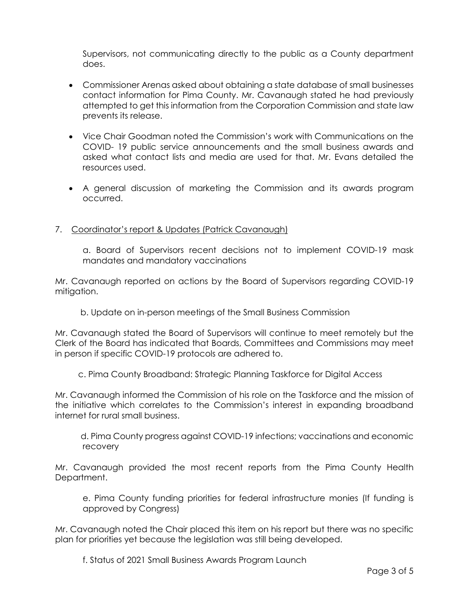Supervisors, not communicating directly to the public as a County department does.

- Commissioner Arenas asked about obtaining a state database of small businesses contact information for Pima County. Mr. Cavanaugh stated he had previously attempted to get this information from the Corporation Commission and state law prevents its release.
- Vice Chair Goodman noted the Commission's work with Communications on the COVID- 19 public service announcements and the small business awards and asked what contact lists and media are used for that. Mr. Evans detailed the resources used.
- A general discussion of marketing the Commission and its awards program occurred.

## 7. Coordinator's report & Updates (Patrick Cavanaugh)

a. Board of Supervisors recent decisions not to implement COVID-19 mask mandates and mandatory vaccinations

Mr. Cavanaugh reported on actions by the Board of Supervisors regarding COVID-19 mitigation.

b. Update on in-person meetings of the Small Business Commission

Mr. Cavanaugh stated the Board of Supervisors will continue to meet remotely but the Clerk of the Board has indicated that Boards, Committees and Commissions may meet in person if specific COVID-19 protocols are adhered to.

c. Pima County Broadband: Strategic Planning Taskforce for Digital Access

Mr. Cavanaugh informed the Commission of his role on the Taskforce and the mission of the initiative which correlates to the Commission's interest in expanding broadband internet for rural small business.

 d. Pima County progress against COVID-19 infections; vaccinations and economic recovery

Mr. Cavanaugh provided the most recent reports from the Pima County Health Department.

e. Pima County funding priorities for federal infrastructure monies (If funding is approved by Congress)

Mr. Cavanaugh noted the Chair placed this item on his report but there was no specific plan for priorities yet because the legislation was still being developed.

f. Status of 2021 Small Business Awards Program Launch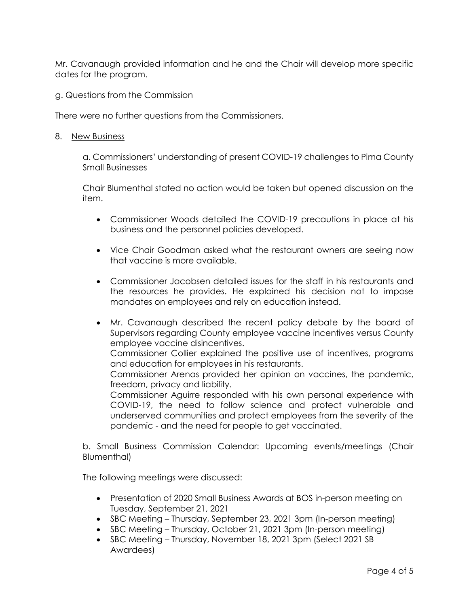Mr. Cavanaugh provided information and he and the Chair will develop more specific dates for the program.

g. Questions from the Commission

There were no further questions from the Commissioners.

8. New Business

a. Commissioners' understanding of present COVID-19 challenges to Pima County Small Businesses

Chair Blumenthal stated no action would be taken but opened discussion on the item.

- Commissioner Woods detailed the COVID-19 precautions in place at his business and the personnel policies developed.
- Vice Chair Goodman asked what the restaurant owners are seeing now that vaccine is more available.
- Commissioner Jacobsen detailed issues for the staff in his restaurants and the resources he provides. He explained his decision not to impose mandates on employees and rely on education instead.
- Mr. Cavanaugh described the recent policy debate by the board of Supervisors regarding County employee vaccine incentives versus County employee vaccine disincentives.

Commissioner Collier explained the positive use of incentives, programs and education for employees in his restaurants.

Commissioner Arenas provided her opinion on vaccines, the pandemic, freedom, privacy and liability.

Commissioner Aguirre responded with his own personal experience with COVID-19, the need to follow science and protect vulnerable and underserved communities and protect employees from the severity of the pandemic - and the need for people to get vaccinated.

b. Small Business Commission Calendar: Upcoming events/meetings (Chair Blumenthal)

The following meetings were discussed:

- Presentation of 2020 Small Business Awards at BOS in-person meeting on Tuesday, September 21, 2021
- SBC Meeting Thursday, September 23, 2021 3pm (In-person meeting)
- SBC Meeting Thursday, October 21, 2021 3pm (In-person meeting)
- SBC Meeting Thursday, November 18, 2021 3pm (Select 2021 SB Awardees)